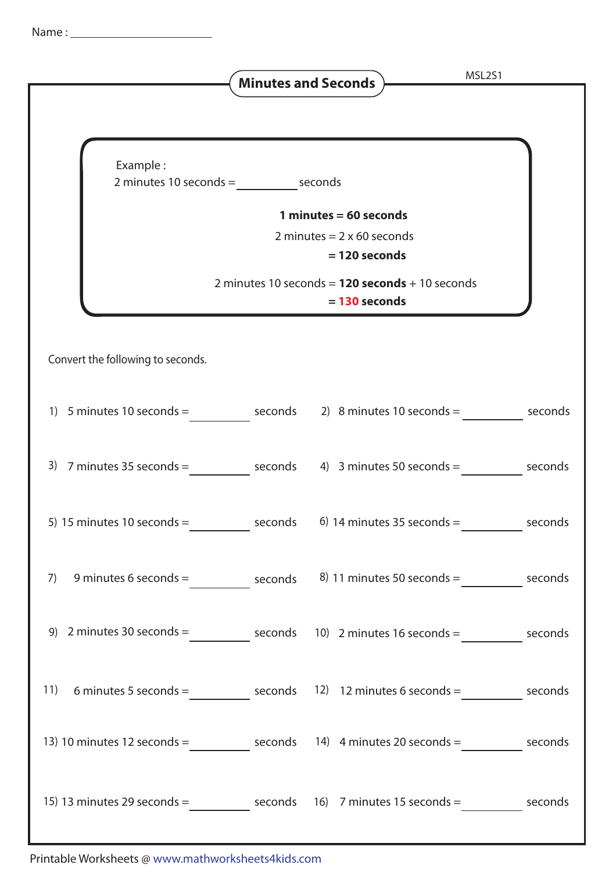|                                                                                                  |         | <b>Minutes and Seconds</b> )                                                                                                                             | MSL2S1  |
|--------------------------------------------------------------------------------------------------|---------|----------------------------------------------------------------------------------------------------------------------------------------------------------|---------|
| Example:<br>$2$ minutes 10 seconds = seconds                                                     |         | 1 minutes = $60$ seconds<br>2 minutes = $2 \times 60$ seconds<br>$= 120$ seconds<br>2 minutes 10 seconds = $120$ seconds + 10 seconds<br>$= 130$ seconds |         |
| Convert the following to seconds.                                                                |         |                                                                                                                                                          |         |
| 1) 5 minutes 10 seconds = $\frac{1}{2}$ seconds 2) 8 minutes 10 seconds = seconds                |         |                                                                                                                                                          |         |
| 3) $7$ minutes 35 seconds = seconds 4) 3 minutes 50 seconds = seconds                            |         |                                                                                                                                                          |         |
| 5) 15 minutes 10 seconds $=$                                                                     | seconds | 6) 14 minutes 35 seconds $=$                                                                                                                             | seconds |
| 7)                                                                                               |         | 9 minutes 6 seconds = $\frac{8}{11}$ minutes 50 seconds = $\frac{1}{21}$ seconds                                                                         |         |
| 9) 2 minutes 30 seconds = seconds 10) 2 minutes 16 seconds = seconds                             |         |                                                                                                                                                          |         |
| 11)                                                                                              |         | 6 minutes 5 seconds = $\qquad \qquad$ seconds 12) 12 minutes 6 seconds = $\qquad \qquad$ seconds                                                         |         |
| 13) 10 minutes 12 seconds = _____________ seconds 14) 4 minutes 20 seconds = ___________ seconds |         |                                                                                                                                                          |         |
| 15) 13 minutes 29 seconds = $\qquad \qquad$ seconds 16) 7 minutes 15 seconds = seconds           |         |                                                                                                                                                          |         |